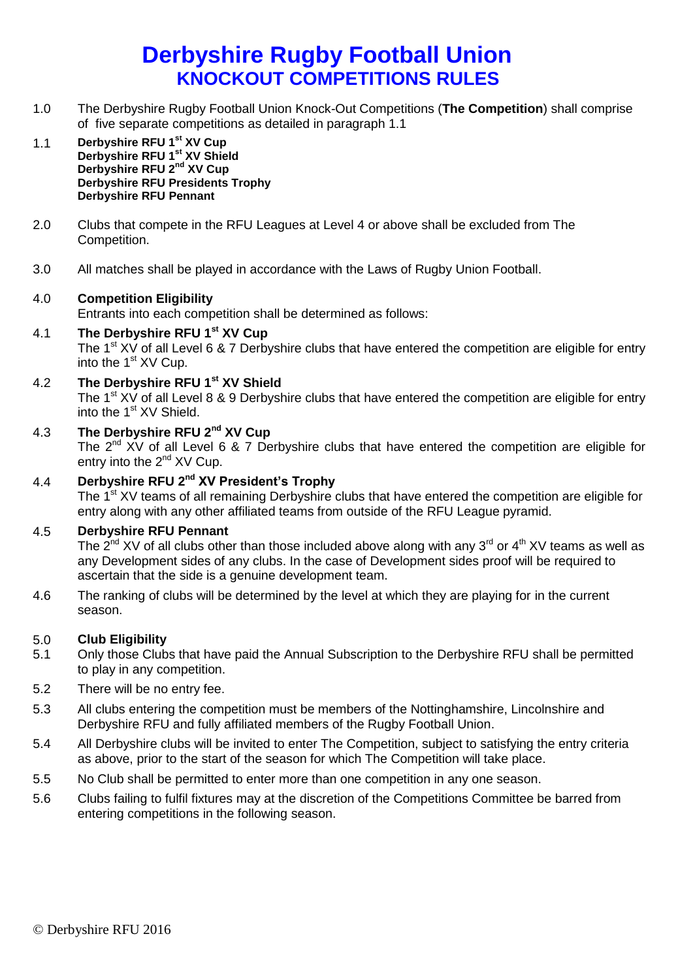# **Derbyshire Rugby Football Union KNOCKOUT COMPETITIONS RULES**

- 1.0 The Derbyshire Rugby Football Union Knock-Out Competitions (**The Competition**) shall comprise of five separate competitions as detailed in paragraph 1.1
- 1.1 **Derbyshire RFU 1st XV Cup Derbyshire RFU 1st XV Shield Derbyshire RFU 2nd XV Cup Derbyshire RFU Presidents Trophy Derbyshire RFU Pennant**
- 2.0 Clubs that compete in the RFU Leagues at Level 4 or above shall be excluded from The Competition.
- 3.0 All matches shall be played in accordance with the Laws of Rugby Union Football.

### 4.0 **Competition Eligibility**

Entrants into each competition shall be determined as follows:

- 4.1 **The Derbyshire RFU 1st XV Cup** The 1<sup>st</sup> XV of all Level 6 & 7 Derbyshire clubs that have entered the competition are eligible for entry into the  $1<sup>st</sup>$  XV Cup.
- 4.2 **The Derbyshire RFU 1st XV Shield**

The 1<sup>st</sup> XV of all Level 8 & 9 Derbyshire clubs that have entered the competition are eligible for entry into the  $1<sup>st</sup> XV$  Shield.

4.3 **The Derbyshire RFU 2nd XV Cup**

The 2<sup>nd</sup> XV of all Level 6 & 7 Derbyshire clubs that have entered the competition are eligible for entry into the  $2^{nd}$  XV Cup.

## 4.4 **Derbyshire RFU 2nd XV President's Trophy**

The 1<sup>st</sup> XV teams of all remaining Derbyshire clubs that have entered the competition are eligible for entry along with any other affiliated teams from outside of the RFU League pyramid.

#### 4.5 **Derbyshire RFU Pennant**

The  $2^{nd}$  XV of all clubs other than those included above along with any 3<sup>rd</sup> or 4<sup>th</sup> XV teams as well as any Development sides of any clubs. In the case of Development sides proof will be required to ascertain that the side is a genuine development team.

4.6 The ranking of clubs will be determined by the level at which they are playing for in the current season.

#### 5.0 **Club Eligibility**

- 5.1 Only those Clubs that have paid the Annual Subscription to the Derbyshire RFU shall be permitted to play in any competition.
- 5.2 There will be no entry fee.
- 5.3 All clubs entering the competition must be members of the Nottinghamshire, Lincolnshire and Derbyshire RFU and fully affiliated members of the Rugby Football Union.
- 5.4 All Derbyshire clubs will be invited to enter The Competition, subject to satisfying the entry criteria as above, prior to the start of the season for which The Competition will take place.
- 5.5 No Club shall be permitted to enter more than one competition in any one season.
- 5.6 Clubs failing to fulfil fixtures may at the discretion of the Competitions Committee be barred from entering competitions in the following season.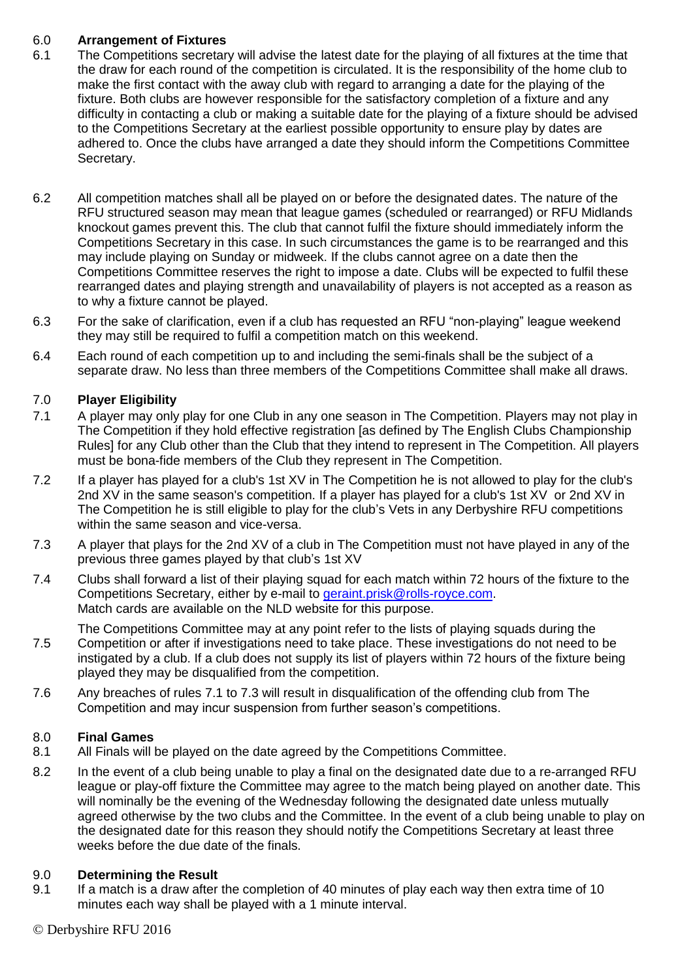#### 6.0 **Arrangement of Fixtures**

- 6.1 The Competitions secretary will advise the latest date for the playing of all fixtures at the time that the draw for each round of the competition is circulated. It is the responsibility of the home club to make the first contact with the away club with regard to arranging a date for the playing of the fixture. Both clubs are however responsible for the satisfactory completion of a fixture and any difficulty in contacting a club or making a suitable date for the playing of a fixture should be advised to the Competitions Secretary at the earliest possible opportunity to ensure play by dates are adhered to. Once the clubs have arranged a date they should inform the Competitions Committee Secretary.
- 6.2 All competition matches shall all be played on or before the designated dates. The nature of the RFU structured season may mean that league games (scheduled or rearranged) or RFU Midlands knockout games prevent this. The club that cannot fulfil the fixture should immediately inform the Competitions Secretary in this case. In such circumstances the game is to be rearranged and this may include playing on Sunday or midweek. If the clubs cannot agree on a date then the Competitions Committee reserves the right to impose a date. Clubs will be expected to fulfil these rearranged dates and playing strength and unavailability of players is not accepted as a reason as to why a fixture cannot be played.
- 6.3 For the sake of clarification, even if a club has requested an RFU "non-playing" league weekend they may still be required to fulfil a competition match on this weekend.
- 6.4 Each round of each competition up to and including the semi-finals shall be the subject of a separate draw. No less than three members of the Competitions Committee shall make all draws.

### 7.0 **Player Eligibility**

- 7.1 A player may only play for one Club in any one season in The Competition. Players may not play in The Competition if they hold effective registration [as defined by The English Clubs Championship Rules] for any Club other than the Club that they intend to represent in The Competition. All players must be bona-fide members of the Club they represent in The Competition.
- 7.2 If a player has played for a club's 1st XV in The Competition he is not allowed to play for the club's 2nd XV in the same season's competition. If a player has played for a club's 1st XV or 2nd XV in The Competition he is still eligible to play for the club's Vets in any Derbyshire RFU competitions within the same season and vice-versa.
- 7.3 A player that plays for the 2nd XV of a club in The Competition must not have played in any of the previous three games played by that club's 1st XV
- 7.4 Clubs shall forward a list of their playing squad for each match within 72 hours of the fixture to the Competitions Secretary, either by e-mail to [geraint.prisk@rolls-royce.com.](mailto:geraint.prisk@rolls-royce.com) Match cards are available on the NLD website for this purpose.

7.5 The Competitions Committee may at any point refer to the lists of playing squads during the Competition or after if investigations need to take place. These investigations do not need to be instigated by a club. If a club does not supply its list of players within 72 hours of the fixture being played they may be disqualified from the competition.

7.6 Any breaches of rules 7.1 to 7.3 will result in disqualification of the offending club from The Competition and may incur suspension from further season's competitions.

#### 8.0 **Final Games**

- 8.1 All Finals will be played on the date agreed by the Competitions Committee.
- 8.2 In the event of a club being unable to play a final on the designated date due to a re-arranged RFU league or play-off fixture the Committee may agree to the match being played on another date. This will nominally be the evening of the Wednesday following the designated date unless mutually agreed otherwise by the two clubs and the Committee. In the event of a club being unable to play on the designated date for this reason they should notify the Competitions Secretary at least three weeks before the due date of the finals.

### 9.0 **Determining the Result**

9.1 If a match is a draw after the completion of 40 minutes of play each way then extra time of 10 minutes each way shall be played with a 1 minute interval.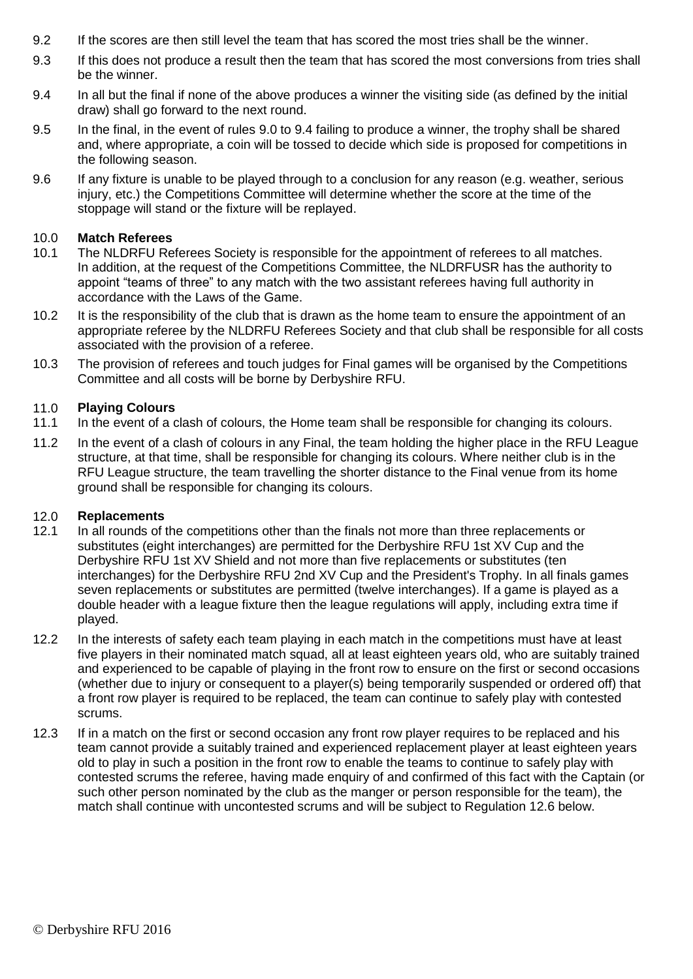- 9.2 If the scores are then still level the team that has scored the most tries shall be the winner.
- 9.3 If this does not produce a result then the team that has scored the most conversions from tries shall be the winner.
- 9.4 In all but the final if none of the above produces a winner the visiting side (as defined by the initial draw) shall go forward to the next round.
- 9.5 In the final, in the event of rules 9.0 to 9.4 failing to produce a winner, the trophy shall be shared and, where appropriate, a coin will be tossed to decide which side is proposed for competitions in the following season.
- 9.6 If any fixture is unable to be played through to a conclusion for any reason (e.g. weather, serious injury, etc.) the Competitions Committee will determine whether the score at the time of the stoppage will stand or the fixture will be replayed.

#### 10.0 **Match Referees**

- 10.1 The NLDRFU Referees Society is responsible for the appointment of referees to all matches. In addition, at the request of the Competitions Committee, the NLDRFUSR has the authority to appoint "teams of three" to any match with the two assistant referees having full authority in accordance with the Laws of the Game.
- 10.2 It is the responsibility of the club that is drawn as the home team to ensure the appointment of an appropriate referee by the NLDRFU Referees Society and that club shall be responsible for all costs associated with the provision of a referee.
- 10.3 The provision of referees and touch judges for Final games will be organised by the Competitions Committee and all costs will be borne by Derbyshire RFU.

#### 11.0 **Playing Colours**

- 11.1 In the event of a clash of colours, the Home team shall be responsible for changing its colours.
- 11.2 In the event of a clash of colours in any Final, the team holding the higher place in the RFU League structure, at that time, shall be responsible for changing its colours. Where neither club is in the RFU League structure, the team travelling the shorter distance to the Final venue from its home ground shall be responsible for changing its colours.

### 12.0 **Replacements**

- 12.1 In all rounds of the competitions other than the finals not more than three replacements or substitutes (eight interchanges) are permitted for the Derbyshire RFU 1st XV Cup and the Derbyshire RFU 1st XV Shield and not more than five replacements or substitutes (ten interchanges) for the Derbyshire RFU 2nd XV Cup and the President's Trophy. In all finals games seven replacements or substitutes are permitted (twelve interchanges). If a game is played as a double header with a league fixture then the league regulations will apply, including extra time if played.
- 12.2 In the interests of safety each team playing in each match in the competitions must have at least five players in their nominated match squad, all at least eighteen years old, who are suitably trained and experienced to be capable of playing in the front row to ensure on the first or second occasions (whether due to injury or consequent to a player(s) being temporarily suspended or ordered off) that a front row player is required to be replaced, the team can continue to safely play with contested scrums.
- 12.3 If in a match on the first or second occasion any front row player requires to be replaced and his team cannot provide a suitably trained and experienced replacement player at least eighteen years old to play in such a position in the front row to enable the teams to continue to safely play with contested scrums the referee, having made enquiry of and confirmed of this fact with the Captain (or such other person nominated by the club as the manger or person responsible for the team), the match shall continue with uncontested scrums and will be subject to Regulation 12.6 below.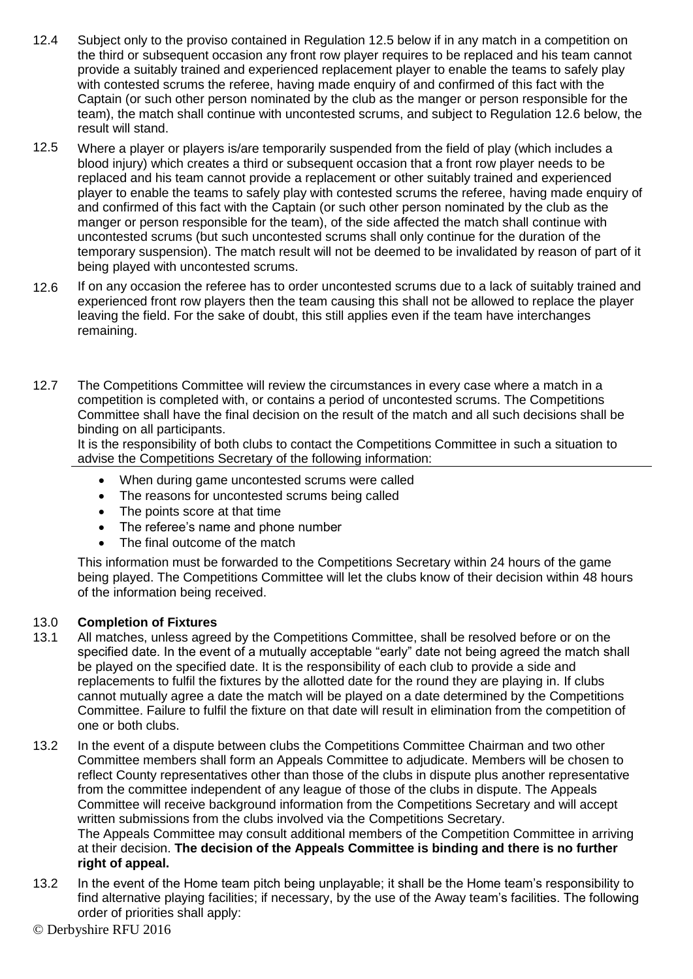- 12.4 Subject only to the proviso contained in Regulation 12.5 below if in any match in a competition on the third or subsequent occasion any front row player requires to be replaced and his team cannot provide a suitably trained and experienced replacement player to enable the teams to safely play with contested scrums the referee, having made enquiry of and confirmed of this fact with the Captain (or such other person nominated by the club as the manger or person responsible for the team), the match shall continue with uncontested scrums, and subject to Regulation 12.6 below, the result will stand.
- 12.5 Where a player or players is/are temporarily suspended from the field of play (which includes a blood injury) which creates a third or subsequent occasion that a front row player needs to be replaced and his team cannot provide a replacement or other suitably trained and experienced player to enable the teams to safely play with contested scrums the referee, having made enquiry of and confirmed of this fact with the Captain (or such other person nominated by the club as the manger or person responsible for the team), of the side affected the match shall continue with uncontested scrums (but such uncontested scrums shall only continue for the duration of the temporary suspension). The match result will not be deemed to be invalidated by reason of part of it being played with uncontested scrums.
- 12.6 If on any occasion the referee has to order uncontested scrums due to a lack of suitably trained and experienced front row players then the team causing this shall not be allowed to replace the player leaving the field. For the sake of doubt, this still applies even if the team have interchanges remaining.
- 12.7 The Competitions Committee will review the circumstances in every case where a match in a competition is completed with, or contains a period of uncontested scrums. The Competitions Committee shall have the final decision on the result of the match and all such decisions shall be binding on all participants.

It is the responsibility of both clubs to contact the Competitions Committee in such a situation to advise the Competitions Secretary of the following information:

- When during game uncontested scrums were called
- The reasons for uncontested scrums being called
- The points score at that time
- The referee's name and phone number
- The final outcome of the match

This information must be forwarded to the Competitions Secretary within 24 hours of the game being played. The Competitions Committee will let the clubs know of their decision within 48 hours of the information being received.

#### 13.0 **Completion of Fixtures**

- 13.1 All matches, unless agreed by the Competitions Committee, shall be resolved before or on the specified date. In the event of a mutually acceptable "early" date not being agreed the match shall be played on the specified date. It is the responsibility of each club to provide a side and replacements to fulfil the fixtures by the allotted date for the round they are playing in. If clubs cannot mutually agree a date the match will be played on a date determined by the Competitions Committee. Failure to fulfil the fixture on that date will result in elimination from the competition of one or both clubs.
- 13.2 In the event of a dispute between clubs the Competitions Committee Chairman and two other Committee members shall form an Appeals Committee to adjudicate. Members will be chosen to reflect County representatives other than those of the clubs in dispute plus another representative from the committee independent of any league of those of the clubs in dispute. The Appeals Committee will receive background information from the Competitions Secretary and will accept written submissions from the clubs involved via the Competitions Secretary. The Appeals Committee may consult additional members of the Competition Committee in arriving at their decision. **The decision of the Appeals Committee is binding and there is no further right of appeal.**
- 13.2 In the event of the Home team pitch being unplayable; it shall be the Home team's responsibility to find alternative playing facilities; if necessary, by the use of the Away team's facilities. The following order of priorities shall apply: